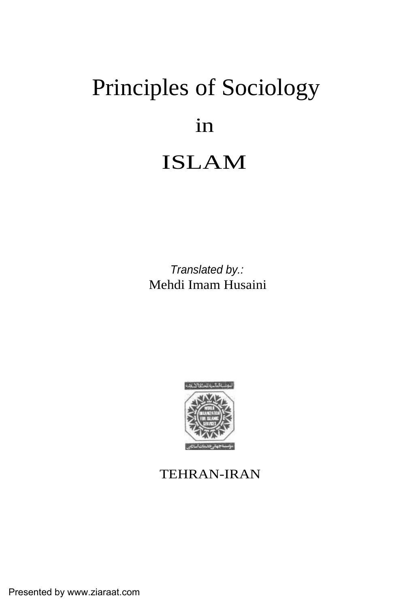# Principles of Sociology in ISLAM

Translated by.: Mehdi Imam Husaini



### TEHRAN-IRAN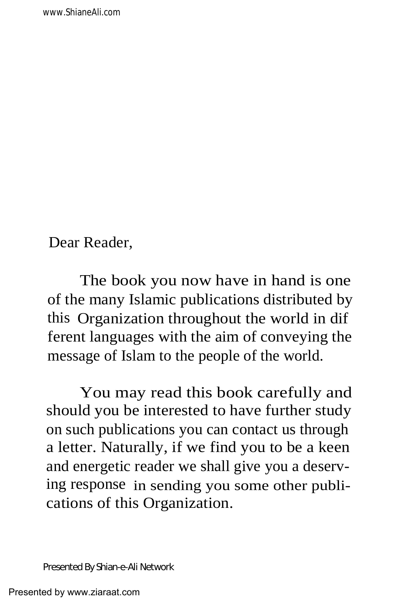Dear Reader,

The book you now have in hand is one of the many Islamic publications distributed by this Organization throughout the world in dif ferent languages with the aim of conveying the message of Islam to the people of the world.

You may read this book carefully and should you be interested to have further study on such publications you can contact us through a letter. Naturally, if we find you to be a keen and energetic reader we shall give you a deserving response in sending you some other publications of this Organization.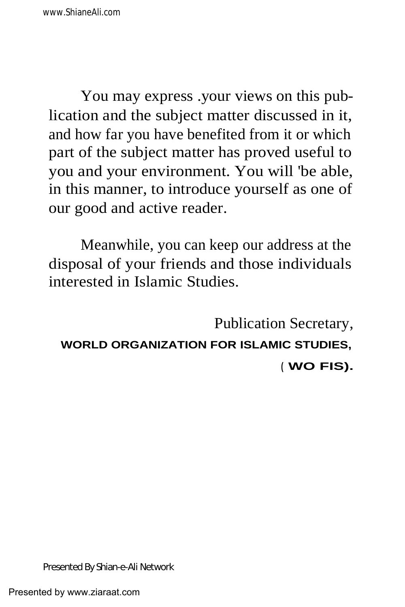You may express .your views on this publication and the subject matter discussed in it, and how far you have benefited from it or which part of the subject matter has proved useful to you and your environment. You will 'be able, in this manner, to introduce yourself as one of our good and active reader.

Meanwhile, you can keep our address at the disposal of your friends and those individuals interested in Islamic Studies.

Publication Secretary, **WORLD ORGANIZATION FOR ISLAMIC STUDIES, ( WO FIS).**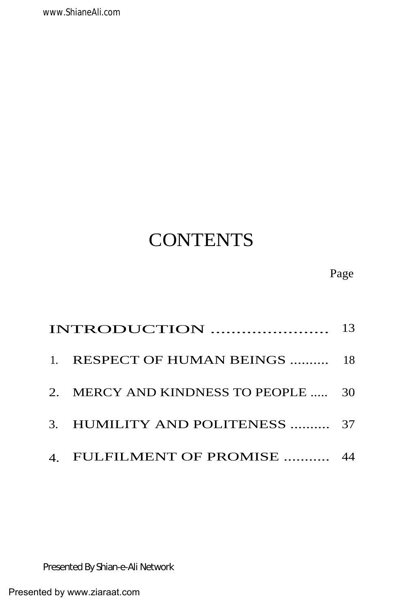| INTRODUCTION                        | 13 |
|-------------------------------------|----|
| 1. RESPECT OF HUMAN BEINGS  18      |    |
| 2. MERCY AND KINDNESS TO PEOPLE  30 |    |
| 3. HUMILITY AND POLITENESS  37      |    |
| 4. FULFILMENT OF PROMISE  44        |    |

### Page

# **CONTENTS**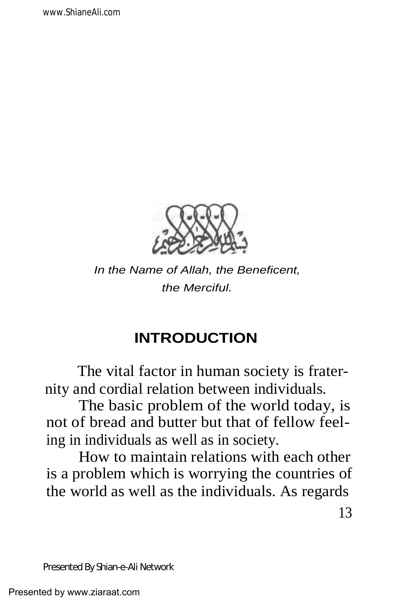

In the Name of Allah, the Beneficent, the Merciful.

# **INTRODUCTION**

The vital factor in human society is fraternity and cordial relation between individuals.

The basic problem of the world today, is not of bread and butter but that of fellow feeling in individuals as well as in society.

How to maintain relations with each other is a problem which is worrying the countries of the world as well as the individuals. As regards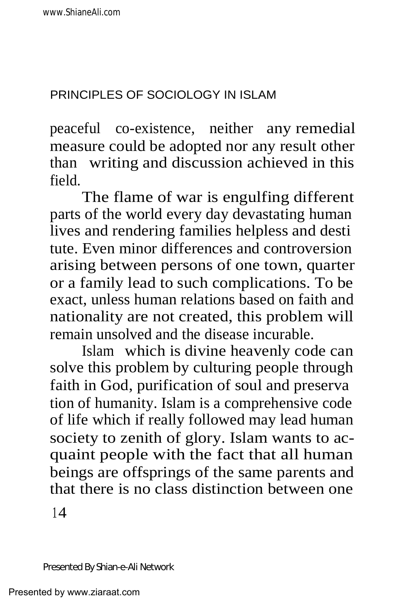peaceful co-existence, neither any remedial measure could be adopted nor any result other than writing and discussion achieved in this field.

The flame of war is engulfing different parts of the world every day devastating human lives and rendering families helpless and desti tute. Even minor differences and controversion arising between persons of one town, quarter or a family lead to such complications. To be exact, unless human relations based on faith and nationality are not created, this problem will remain unsolved and the disease incurable.

Islam which is divine heavenly code can solve this problem by culturing people through faith in God, purification of soul and preserva tion of humanity. Islam is a comprehensive code of life which if really followed may lead human society to zenith of glory. Islam wants to acquaint people with the fact that all human beings are offsprings of the same parents and that there is no class distinction between one

 $14$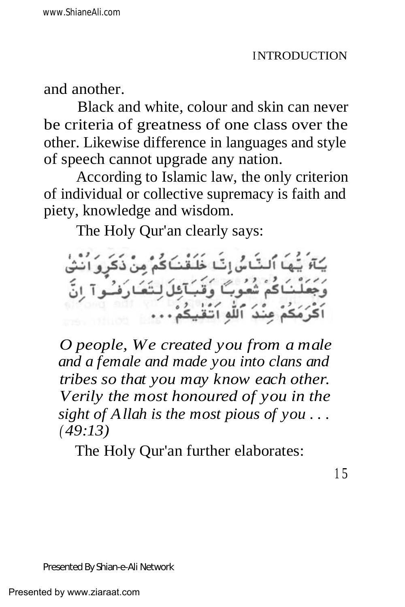and another.

Black and white, colour and skin can never be criteria of greatness of one class over the other. Likewise difference in languages and style of speech cannot upgrade any nation.

According to Islamic law, the only criterion of individual or collective supremacy is faith and piety, knowledge and wisdom.

The Holy Qur'an clearly says:

بَا اَلتَّاسُ اِتَبَا خَلَقْنَاكُمْ دُ اَللّه اَ ت

*O people, We created you from a male and a female and made you into clans and tribes so that you may know each other. Verily the most honoured of you in the sight of Allah is the most pious of you . . . ( 49:13)*

The Holy Qur'an further elaborates: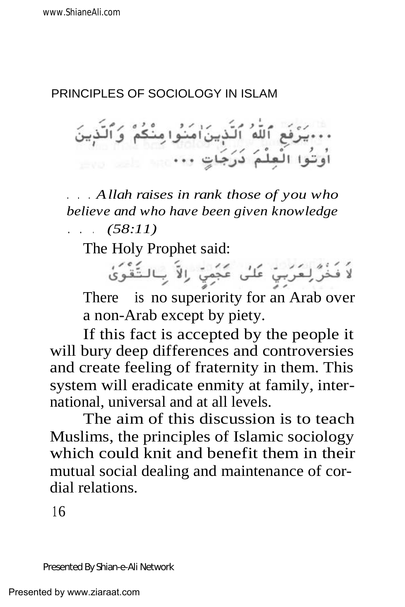### PRINCIPLES OF SOCIOLOGY IN ISLAM

مِ ٱللَّهُ ٱلَّذِينَ ٰامَنُوا مِنْكُمْ ۚ وَٱلَّذِينَ 

. . . *Allah raises in rank those of you who believe and who have been given knowledge . . . (58:11)*

The Holy Prophet said:

لاَ فَخُرَّ لِعَرَبِيّ عَلَى عَجَمِيّ رالاً بِالتَّقْوَىٰ There is no superiority for an Arab over a non-Arab except by piety.

If this fact is accepted by the people it will bury deep differences and controversies and create feeling of fraternity in them. This system will eradicate enmity at family, international, universal and at all levels.

The aim of this discussion is to teach Muslims, the principles of Islamic sociology which could knit and benefit them in their mutual social dealing and maintenance of cordial relations.

 $16$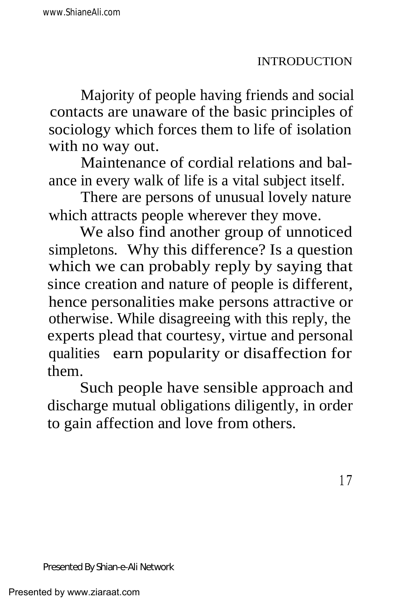Majority of people having friends and social contacts are unaware of the basic principles of sociology which forces them to life of isolation with no way out.

Maintenance of cordial relations and balance in every walk of life is a vital subject itself.

There are persons of unusual lovely nature which attracts people wherever they move.

We also find another group of unnoticed simpletons. Why this difference? Is a question which we can probably reply by saying that since creation and nature of people is different, hence personalities make persons attractive or otherwise. While disagreeing with this reply, the experts plead that courtesy, virtue and personal qualities earn popularity or disaffection for them.

Such people have sensible approach and discharge mutual obligations diligently, in order to gain affection and love from others.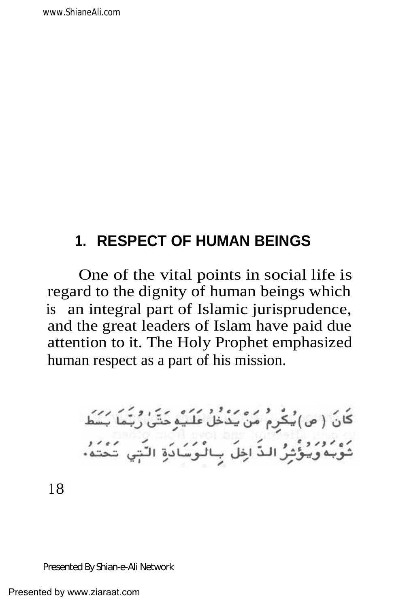# **1. RESPECT OF HUMAN BEINGS**

One of the vital points in social life is regard to the dignity of human beings which is an integral part of Islamic jurisprudence, and the great leaders of Islam have paid due attention to it. The Holy Prophet emphasized human respect as a part of his mission.

> .<br>کَانَ ( ص) یُکْرِمْ مَنْ یَدْخَلْ عَلَیْمِوَحَتَّیْ رُبَّمَا بَسَطَ .<br>ثَوْبُهُوَيُؤْثِرُ الذَّ اخِلَ بِالْوَسَادَةِ النَّبِي تَحْتَهُ·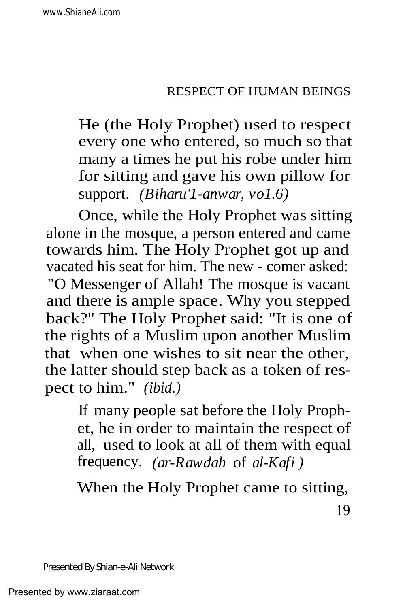He (the Holy Prophet) used to respect every one who entered, so much so that many a times he put his robe under him for sitting and gave his own pillow for support. *(Biharu'1-anwar, vo1.6)*

Once, while the Holy Prophet was sitting alone in the mosque, a person entered and came towards him. The Holy Prophet got up and vacated his seat for him. The new - comer asked: "O Messenger of Allah! The mosque is vacant and there is ample space. Why you stepped back?" The Holy Prophet said: "It is one of the rights of a Muslim upon another Muslim that when one wishes to sit near the other, the latter should step back as a token of respect to him." *(ibid.)*

> If many people sat before the Holy Prophet, he in order to maintain the respect of all, used to look at all of them with equal frequency. *(ar-Rawdah* of *al-Kafi )*

When the Holy Prophet came to sitting,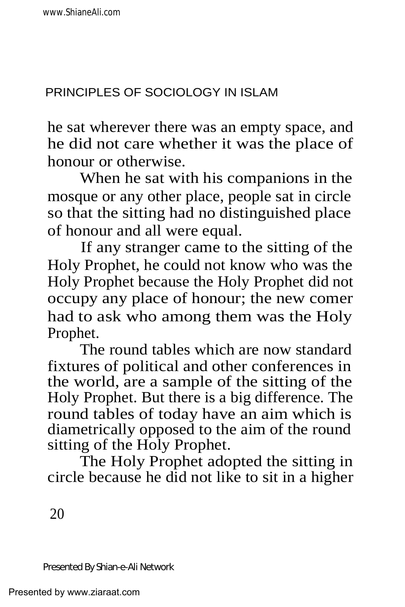he sat wherever there was an empty space, and he did not care whether it was the place of honour or otherwise.

When he sat with his companions in the mosque or any other place, people sat in circle so that the sitting had no distinguished place of honour and all were equal.

If any stranger came to the sitting of the Holy Prophet, he could not know who was the Holy Prophet because the Holy Prophet did not occupy any place of honour; the new comer had to ask who among them was the Holy Prophet.

The round tables which are now standard fixtures of political and other conferences in the world, are a sample of the sitting of the Holy Prophet. But there is a big difference. The round tables of today have an aim which is diametrically opposed to the aim of the round sitting of the Holy Prophet.

The Holy Prophet adopted the sitting in circle because he did not like to sit in a higher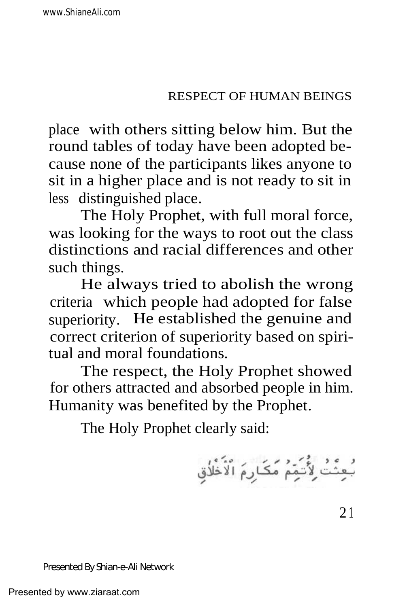place with others sitting below him. But the round tables of today have been adopted because none of the participants likes anyone to sit in a higher place and is not ready to sit in less distinguished place.

The Holy Prophet, with full moral force, was looking for the ways to root out the class distinctions and racial differences and other such things.

He always tried to abolish the wrong criteria which people had adopted for false superiority. He established the genuine and correct criterion of superiority based on spiritual and moral foundations.

The respect, the Holy Prophet showed for others attracted and absorbed people in him. Humanity was benefited by the Prophet.

The Holy Prophet clearly said:

بُعِثْتُ لِأُتَيَمُ مَكَارِمَ الْأَظُلُقِ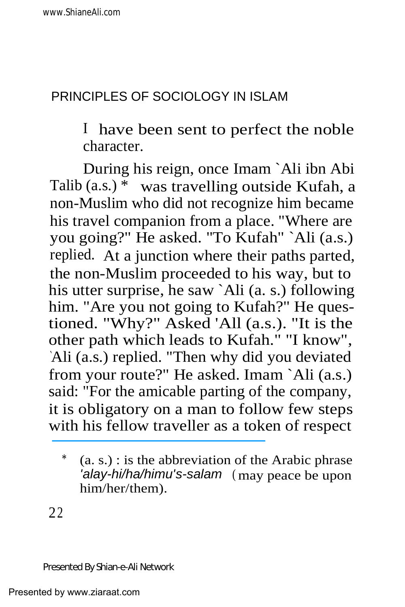# PRINCIPLES OF SOCIOLOGY IN ISLAM

I have been sent to perfect the noble character.

During his reign, once Imam `Ali ibn Abi Talib (a.s.) \* was travelling outside Kufah, a non-Muslim who did not recognize him became his travel companion from a place. "Where are you going?" He asked. "To Kufah" `Ali (a.s.) replied. At a junction where their paths parted, the non-Muslim proceeded to his way, but to his utter surprise, he saw `Ali (a. s.) following him. "Are you not going to Kufah?" He questioned. "Why?" Asked 'All (a.s.). "It is the other path which leads to Kufah." "I know", `Ali (a.s.) replied. "Then why did you deviated from your route?" He asked. Imam `Ali (a.s.) said: "For the amicable parting of the company, it is obligatory on a man to follow few steps with his fellow traveller as a token of respect

 $*$  (a. s.) : is the abbreviation of the Arabic phrase 'alay-hi/ha/himu's-salam (may peace be upon him/her/them).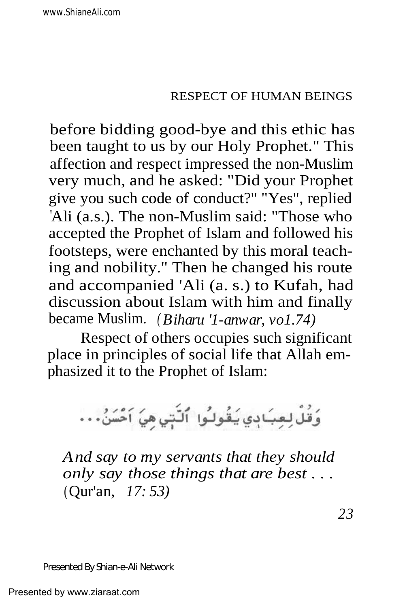before bidding good-bye and this ethic has been taught to us by our Holy Prophet." This affection and respect impressed the non-Muslim very much, and he asked: "Did your Prophet give you such code of conduct?" "Yes", replied 'Ali (a.s.). The non-Muslim said: "Those who accepted the Prophet of Islam and followed his footsteps, were enchanted by this moral teaching and nobility." Then he changed his route and accompanied 'Ali (a. s.) to Kufah, had discussion about Islam with him and finally became Muslim. *( Biharu '1-anwar, vo1.74)*

Respect of others occupies such significant place in principles of social life that Allah emphasized it to the Prophet of Islam:

وَقُلْ لِعِبَادِي يَقُولُوا ۚ ٱلنَّتِي هِيَ اَحْسَنُ . . .

*And say to my servants that they should only say those things that are best . . .* (Qur'an, *17: 53)*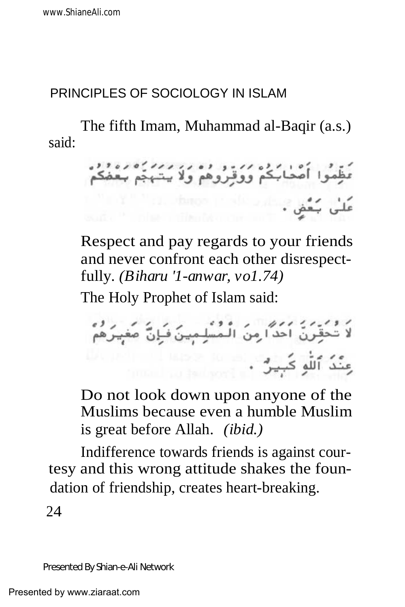### PRINCIPLES OF SOCIOLOGY IN ISLAM

said: The fifth Imam, Muhammad al-Baqir (a.s.)

مي چگي . شاه استفاد از شده است.<br>علي چگي .

Respect and pay regards to your friends and never confront each other disrespectfully*. (Biharu '1-anwar, vo1.74)*

The Holy Prophet of Islam said:

ر و .<br>لا تَحَقِّرنّ احدٌا مِنَ الْمُسْلِمِينَ فَإِنَّ صَغِيرَهُمْ 

Do not look down upon anyone of the Muslims because even a humble Muslim is great before Allah. *(ibid.)*

Indifference towards friends is against courtesy and this wrong attitude shakes the foundation of friendship, creates heart-breaking.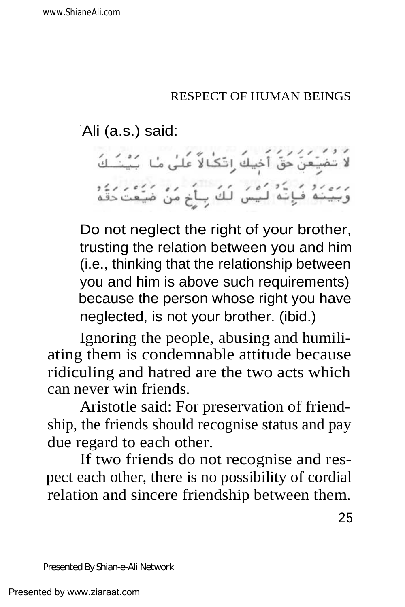`Ali (a.s.) said:

لَا تُضْيَعَنَّ حَقَّ أَخِيكَ رِتَكَٰالاً عَلَىٰ مَا بَيْنَـَـكَ رَّ رَبِّيْنَهُ فَإِنَّهُ لَيْسَ لَكَ بِأَخِ مَنْ ضَيْعَتَ دَقَّهِ

Do not neglect the right of your brother, trusting the relation between you and him (i.e., thinking that the relationship between you and him is above such requirements) because the person whose right you have neglected, is not your brother. (ibid.)

Ignoring the people, abusing and humiliating them is condemnable attitude because ridiculing and hatred are the two acts which can never win friends.

Aristotle said: For preservation of friendship, the friends should recognise status and pay due regard to each other.

If two friends do not recognise and respect each other, there is no possibility of cordial relation and sincere friendship between them.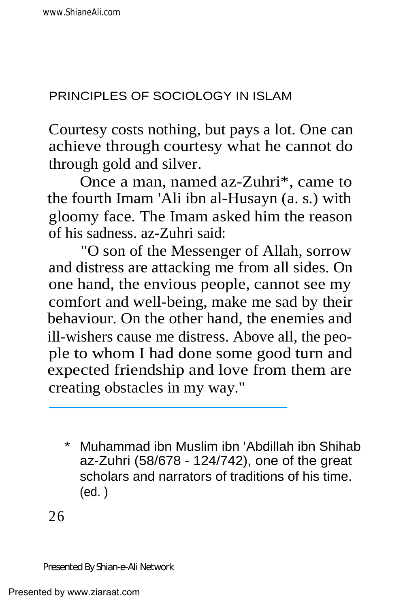Courtesy costs nothing, but pays a lot. One can achieve through courtesy what he cannot do through gold and silver.

Once a man, named az-Zuhri\*, came to the fourth Imam 'Ali ibn al-Husayn (a. s.) with gloomy face. The Imam asked him the reason of his sadness. az-Zuhri said:

"O son of the Messenger of Allah, sorrow and distress are attacking me from all sides. On one hand, the envious people, cannot see my comfort and well-being, make me sad by their behaviour. On the other hand, the enemies and ill-wishers cause me distress. Above all, the people to whom I had done some good turn and expected friendship and love from them are creating obstacles in my way."

\* Muhammad ibn Muslim ibn 'Abdillah ibn Shihab az-Zuhri (58/678 - 124/742), one of the great scholars and narrators of traditions of his time. (ed. )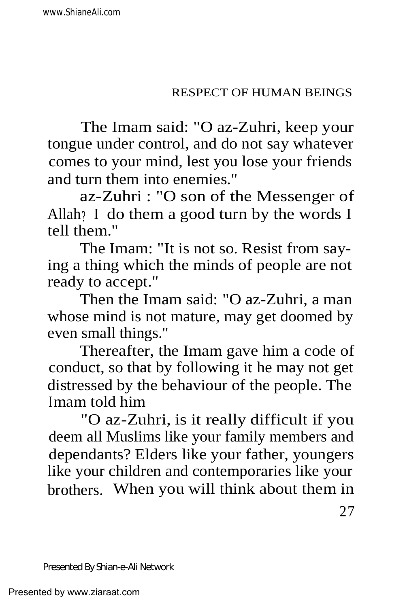The Imam said: "O az-Zuhri, keep your tongue under control, and do not say whatever comes to your mind, lest you lose your friends and turn them into enemies."

az-Zuhri : "O son of the Messenger of Allah? I do them a good turn by the words I tell them."

The Imam: "It is not so. Resist from saying a thing which the minds of people are not ready to accept."

Then the Imam said: "O az-Zuhri, a man whose mind is not mature, may get doomed by even small things."

Thereafter, the Imam gave him a code of conduct, so that by following it he may not get distressed by the behaviour of the people. The Imam told him

"O az-Zuhri, is it really difficult if you deem all Muslims like your family members and dependants? Elders like your father, youngers like your children and contemporaries like your brothers. When you will think about them in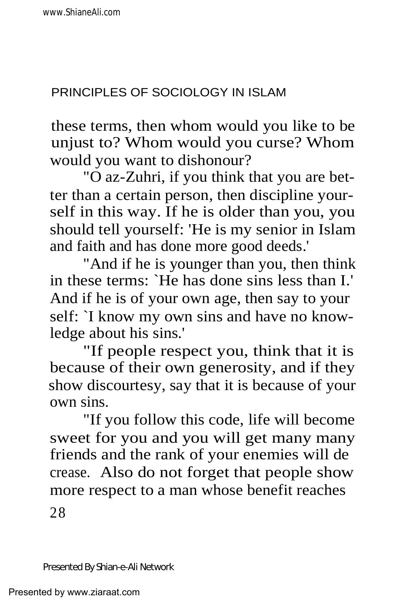these terms, then whom would you like to be unjust to? Whom would you curse? Whom would you want to dishonour?

"O az-Zuhri, if you think that you are better than a certain person, then discipline yourself in this way. If he is older than you, you should tell yourself: 'He is my senior in Islam and faith and has done more good deeds.'

"And if he is younger than you, then think in these terms: `He has done sins less than I.' And if he is of your own age, then say to your self: `I know my own sins and have no knowledge about his sins.'

"If people respect you, think that it is because of their own generosity, and if they show discourtesy, say that it is because of your own sins.

"If you follow this code, life will become sweet for you and you will get many many friends and the rank of your enemies will de crease. Also do not forget that people show more respect to a man whose benefit reaches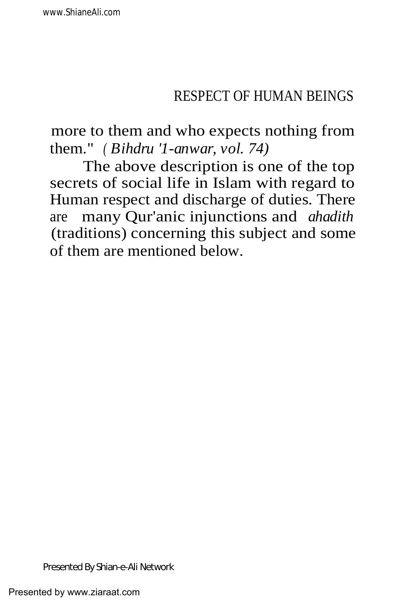more to them and who expects nothing from them." *( Bihdru '1-anwar, vol. 74)*

The above description is one of the top secrets of social life in Islam with regard to Human respect and discharge of duties. There are many Qur'anic injunctions and *ahadith* (traditions) concerning this subject and some of them are mentioned below.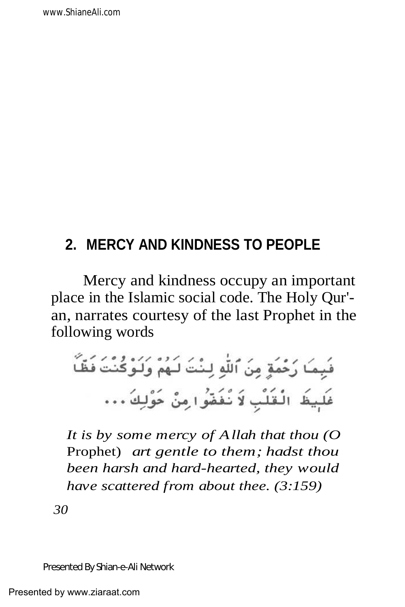# **2. MERCY AND KINDNESS TO PEOPLE**

Mercy and kindness occupy an important place in the Islamic social code. The Holy Qur' an, narrates courtesy of the last Prophet in the following words

*It is by some mercy of Allah that thou (O* Prophet) *art gentle to them; hadst thou been harsh and hard-hearted, they would have scattered from about thee. (3:159)*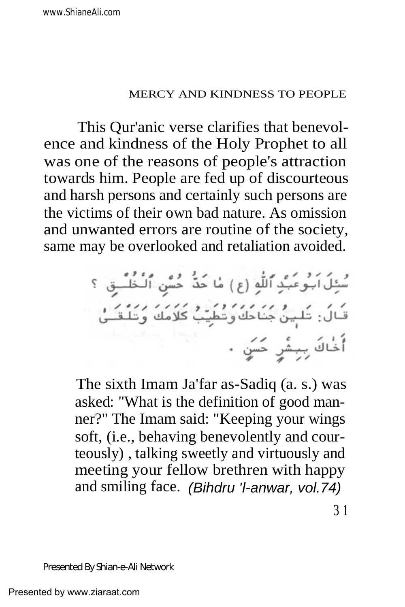This Qur'anic verse clarifies that benevolence and kindness of the Holy Prophet to all was one of the reasons of people's attraction towards him. People are fed up of discourteous and harsh persons and certainly such persons are the victims of their own bad nature. As omission and unwanted errors are routine of the society, same may be overlooked and retaliation avoided.

The sixth Imam Ja'far as-Sadiq (a. s.) was asked: "What is the definition of good manner?" The Imam said: "Keeping your wings soft, (i.e., behaving benevolently and courteously) , talking sweetly and virtuously and meeting your fellow brethren with happy and smiling face. (Bihdru 'l-anwar, vol.74)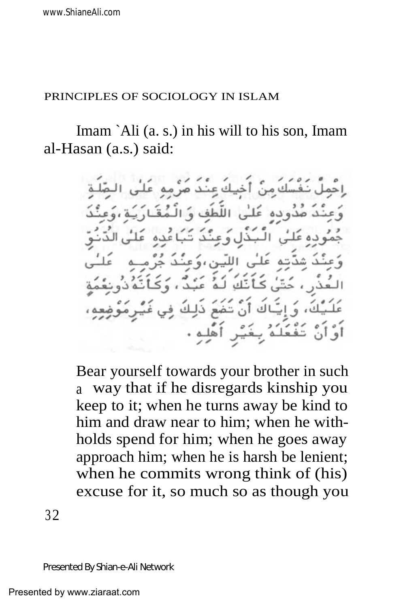#### PRINCIPLES OF SOCIOLOGY IN ISLAM

Imam `Ali (a. s.) in his will to his son, Imam al-Hasan (a.s.) said:

> أخيك عند صرمه صدوده عَلَىٰ، اللَّطَفِ وَ جڏل وَ عَنْ أَنْكَ لَـهُ كَ، وَ إِيَّاكَ أَنْ تَثْمَعَ ذَلِكَ بِخَيْرِ أَهْلِهِ .

Bear yourself towards your brother in such a way that if he disregards kinship you keep to it; when he turns away be kind to him and draw near to him; when he withholds spend for him; when he goes away approach him; when he is harsh be lenient; when he commits wrong think of (his) excuse for it, so much so as though you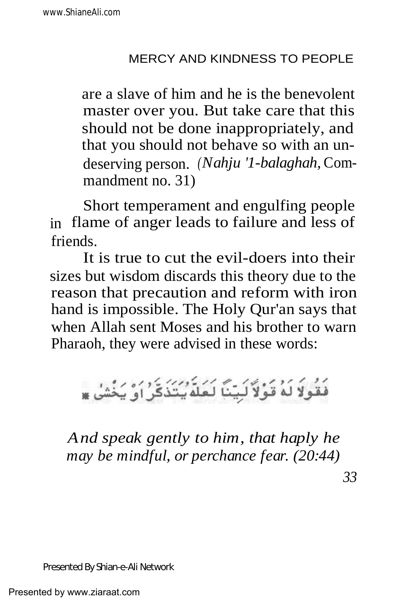are a slave of him and he is the benevolent master over you. But take care that this should not be done inappropriately, and that you should not behave so with an undeserving person. *(Nahju '1-balaghah,* Commandment no. 31)

Short temperament and engulfing people in flame of anger leads to failure and less of friends.

It is true to cut the evil-doers into their sizes but wisdom discards this theory due to the reason that precaution and reform with iron hand is impossible. The Holy Qur'an says that when Allah sent Moses and his brother to warn Pharaoh, they were advised in these words:

فَقُولاً لَهُ قَوْلاً لَبِيّنَا لَعَلَّهُ بِتَذَكَّرُ أَوْ يَخْشَىٰ \*

*And speak gently to him, that haply he may be mindful, or perchance fear. (20:44)*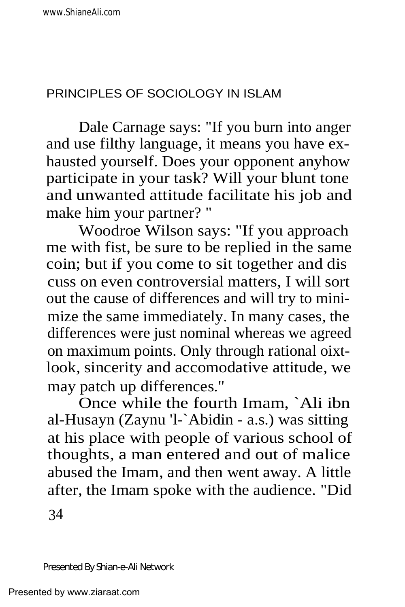Dale Carnage says: "If you burn into anger and use filthy language, it means you have exhausted yourself. Does your opponent anyhow participate in your task? Will your blunt tone and unwanted attitude facilitate his job and make him your partner? "

Woodroe Wilson says: "If you approach me with fist, be sure to be replied in the same coin; but if you come to sit together and dis cuss on even controversial matters, I will sort out the cause of differences and will try to minimize the same immediately. In many cases, the differences were just nominal whereas we agreed on maximum points. Only through rational oixtlook, sincerity and accomodative attitude, we may patch up differences."

Once while the fourth Imam, `Ali ibn al-Husayn (Zaynu 'l-`Abidin - a.s.) was sitting at his place with people of various school of thoughts, a man entered and out of malice abused the Imam, and then went away. A little after, the Imam spoke with the audience. "Did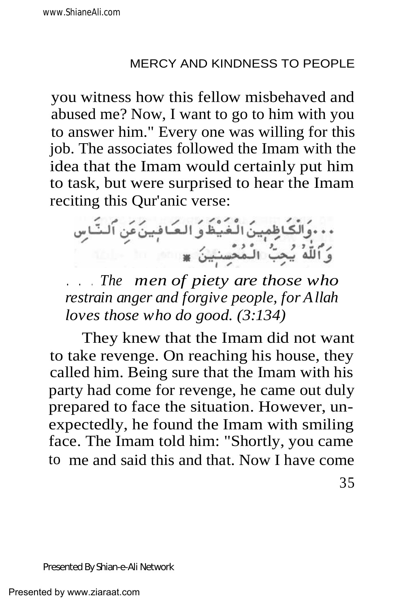you witness how this fellow misbehaved and abused me? Now, I want to go to him with you to answer him." Every one was willing for this job. The associates followed the Imam with the idea that the Imam would certainly put him to task, but were surprised to hear the Imam reciting this Qur'anic verse:



. . . *The men of piety are those who restrain anger and forgive people, for Allah loves those who do good. (3:134)*

They knew that the Imam did not want to take revenge. On reaching his house, they called him. Being sure that the Imam with his party had come for revenge, he came out duly prepared to face the situation. However, unexpectedly, he found the Imam with smiling face. The Imam told him: "Shortly, you came to me and said this and that. Now I have come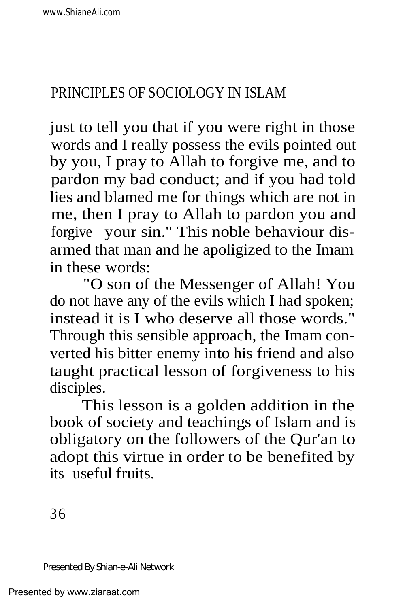just to tell you that if you were right in those words and I really possess the evils pointed out by you, I pray to Allah to forgive me, and to pardon my bad conduct; and if you had told lies and blamed me for things which are not in me, then I pray to Allah to pardon you and forgive your sin." This noble behaviour disarmed that man and he apoligized to the Imam in these words:

"O son of the Messenger of Allah! You do not have any of the evils which I had spoken; instead it is I who deserve all those words." Through this sensible approach, the Imam converted his bitter enemy into his friend and also taught practical lesson of forgiveness to his disciples.

This lesson is a golden addition in the book of society and teachings of Islam and is obligatory on the followers of the Qur'an to adopt this virtue in order to be benefited by its useful fruits.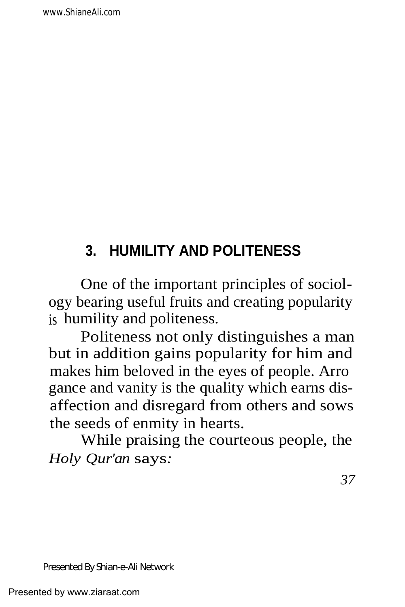# **3. HUMILITY AND POLITENESS**

One of the important principles of sociology bearing useful fruits and creating popularity is humility and politeness.

Politeness not only distinguishes a man but in addition gains popularity for him and makes him beloved in the eyes of people. Arro gance and vanity is the quality which earns disaffection and disregard from others and sows the seeds of enmity in hearts.

While praising the courteous people, the *Holy Qur'an* says*:*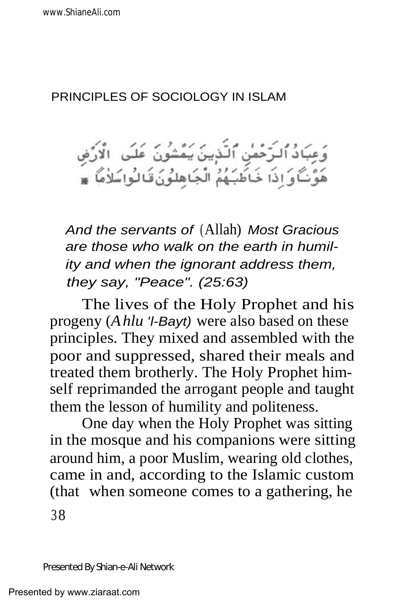### PRINCIPLES OF SOCIOLOGY IN ISLAM

وَعِبَادُ ٱلـرَّحْمٰنِ ٱلنَّذِينَ يَمْشُونَ عَلَى ۚ الْأَرْضِ<br>هَوَّنَـَّاوَ اِذَا خَـَاطَبَـهُمُ الْجَاهِلُونَ قَـالُواسَلاٰمَا ۞

And the servants of (Allah) Most Gracious are those who walk on the earth in humility and when the ignorant address them, they say, "Peace". (25:63)

The lives of the Holy Prophet and his progeny (*Ahlu* 'l-Bayt) were also based on these principles. They mixed and assembled with the poor and suppressed, shared their meals and treated them brotherly. The Holy Prophet himself reprimanded the arrogant people and taught them the lesson of humility and politeness.

One day when the Holy Prophet was sitting in the mosque and his companions were sitting around him, a poor Muslim, wearing old clothes, came in and, according to the Islamic custom (that when someone comes to a gathering, he 38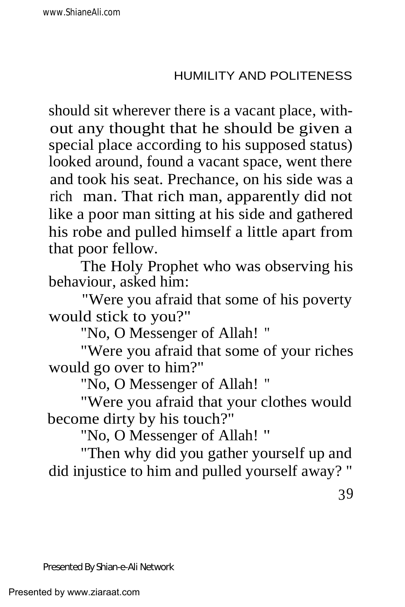should sit wherever there is a vacant place, without any thought that he should be given a special place according to his supposed status) looked around, found a vacant space, went there and took his seat. Prechance, on his side was a rich man. That rich man, apparently did not like a poor man sitting at his side and gathered his robe and pulled himself a little apart from that poor fellow.

The Holy Prophet who was observing his behaviour, asked him:

"Were you afraid that some of his poverty would stick to you?"

"No, O Messenger of Allah! "

"Were you afraid that some of your riches would go over to him?"

"No, O Messenger of Allah! "

"Were you afraid that your clothes would become dirty by his touch?"

"No, O Messenger of Allah! "

"Then why did you gather yourself up and did injustice to him and pulled yourself away? "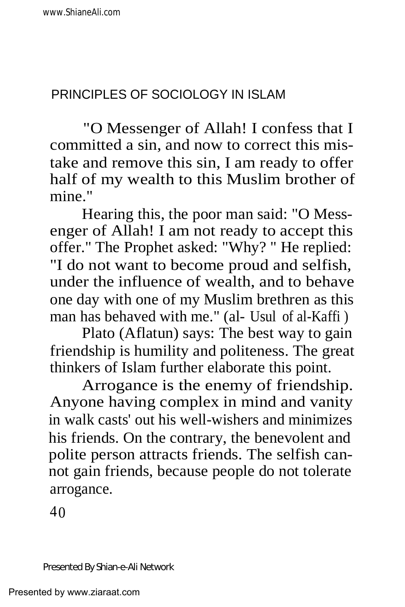"O Messenger of Allah! I confess that I committed a sin, and now to correct this mistake and remove this sin, I am ready to offer half of my wealth to this Muslim brother of mine."

Hearing this, the poor man said: "O Messenger of Allah! I am not ready to accept this offer." The Prophet asked: "Why? " He replied: "I do not want to become proud and selfish, under the influence of wealth, and to behave one day with one of my Muslim brethren as this man has behaved with me." (al- Usul of al-Kaffi )

Plato (Aflatun) says: The best way to gain friendship is humility and politeness. The great thinkers of Islam further elaborate this point.

Arrogance is the enemy of friendship. Anyone having complex in mind and vanity in walk casts' out his well-wishers and minimizes his friends. On the contrary, the benevolent and polite person attracts friends. The selfish cannot gain friends, because people do not tolerate arrogance.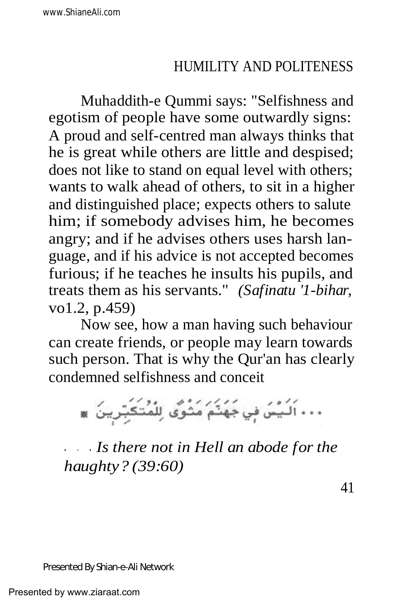Muhaddith-e Qummi says: "Selfishness and egotism of people have some outwardly signs: A proud and self-centred man always thinks that he is great while others are little and despised; does not like to stand on equal level with others; wants to walk ahead of others, to sit in a higher and distinguished place; expects others to salute him; if somebody advises him, he becomes angry; and if he advises others uses harsh language, and if his advice is not accepted becomes furious; if he teaches he insults his pupils, and treats them as his servants." *(Safinatu '1-bihar,* vo1.2, p.459)

Now see, how a man having such behaviour can create friends, or people may learn towards such person. That is why the Qur'an has clearly condemned selfishness and conceit

... اَلَيْسَ فِي جَهَنَّمَ مَثْوَى لِلْمُتَكَبِّرِينَ \*

. . . *Is there not in Hell an abode for the haughty? (39:60)*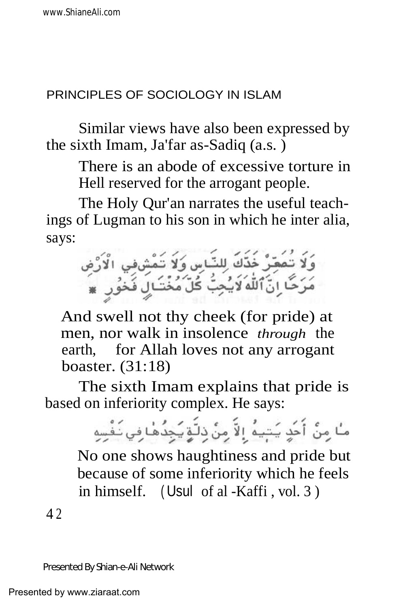### PRINCIPLES OF SOCIOLOGY IN ISLAM

Similar views have also been expressed by the sixth Imam, Ja'far as-Sadiq (a.s. )

There is an abode of excessive torture in Hell reserved for the arrogant people.

The Holy Qur'an narrates the useful teachings of Lugman to his son in which he inter alia, says:



And swell not thy cheek (for pride) at men, nor walk in insolence *through* the earth, for Allah loves not any arrogant boaster. (31:18)

The sixth Imam explains that pride is based on inferiority complex. He says:

> مًا مِنْ أُحَدٍ يَتِيهُ إِلاَّ مِنْ ذِلَّةٍ يَجِدُهَٰا فِي نَفْسِهِ No one shows haughtiness and pride but because of some inferiority which he feels in himself. ( Usul of al -Kaffi , vol. 3 )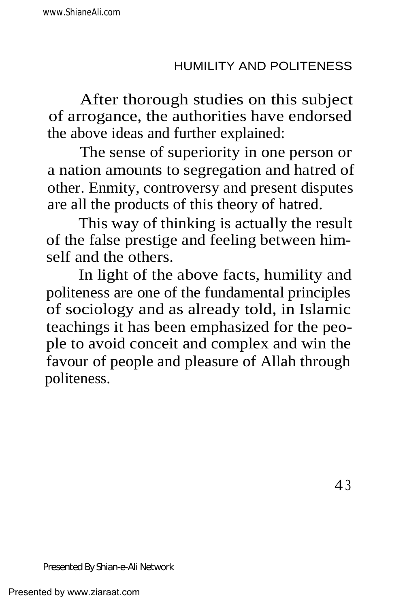After thorough studies on this subject of arrogance, the authorities have endorsed the above ideas and further explained:

The sense of superiority in one person or a nation amounts to segregation and hatred of other. Enmity, controversy and present disputes are all the products of this theory of hatred.

This way of thinking is actually the result of the false prestige and feeling between himself and the others.

In light of the above facts, humility and politeness are one of the fundamental principles of sociology and as already told, in Islamic teachings it has been emphasized for the people to avoid conceit and complex and win the favour of people and pleasure of Allah through politeness.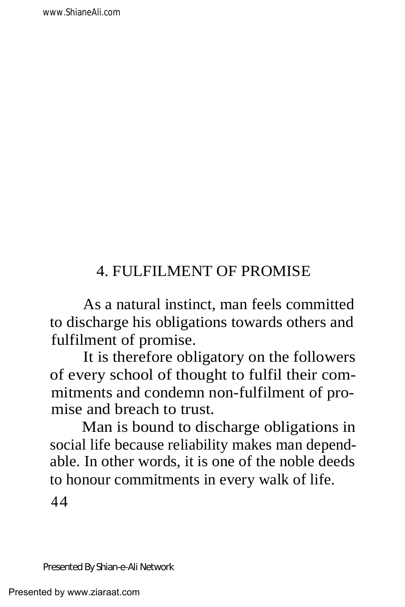# 4. FULFILMENT OF PROMISE

As a natural instinct, man feels committed to discharge his obligations towards others and fulfilment of promise.

It is therefore obligatory on the followers of every school of thought to fulfil their commitments and condemn non-fulfilment of promise and breach to trust.

Man is bound to discharge obligations in social life because reliability makes man dependable. In other words, it is one of the noble deeds to honour commitments in every walk of life.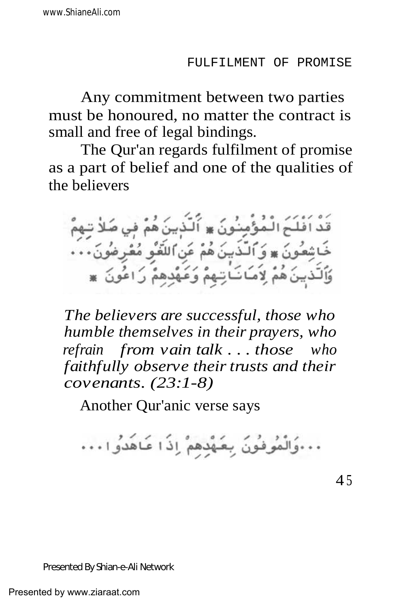Any commitment between two parties must be honoured, no matter the contract is small and free of legal bindings.

The Qur'an regards fulfilment of promise as a part of belief and one of the qualities of the believers

قَدْ اَفْلَحَ الْمُؤْمِنُونَ ۞ أَلَذْبِينَ هُمْ فِي صَلاْ تِـهِمْ خَاشِعُونَ ۞ وَٱلذَّبِينَ هُمْ عَنِ ٱللَّغْوِ مُعْرِضُونَ . . . وَٱلَّذِينَ هُمْ لِاَمَـانَـاتِـهِمْ وَعَهْدِهِمْ رَاعُونَ ۞

*The believers are successful, those who humble themselves in their prayers, who refrain from vain talk . . . those who faithfully observe their trusts and their covenants. (23:1-8)*

Another Qur'anic verse says

... وَالْمُوفُونَ بِعَهْدِهِمْ إِذَا عَاهَدُوا ...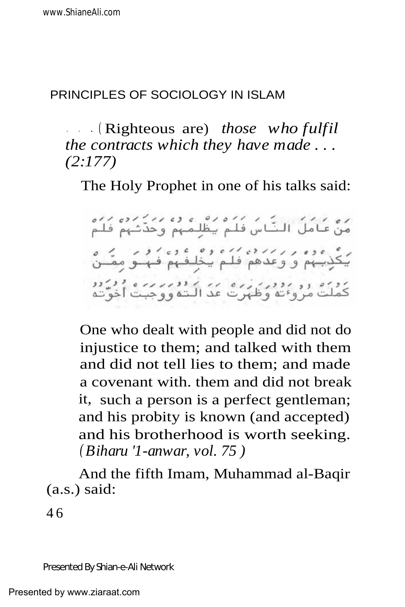### PRINCIPLES OF SOCIOLOGY IN ISLAM

. . . ( Righteous are) *those who fulfil the contracts which they have made . . . (2:177)*

The Holy Prophet in one of his talks said:

ره ۱۶۶۶ لیگ می کرد و ده وه ۱۶۶۶ در دره<br>من عامل النّاس فلم یظلِمهم وحدّثهم فلم گزینهم و وعدهم فلم پخلیفهم فه و مقـن<br>یکزینهم و وعدهم فلـم پخلیفهم فـهـکو مقـن دوره دو روور زره این دوربر بره ورود.<br>کملت مروی وظهرت عدّ الـته ووجبت اخوّته

One who dealt with people and did not do injustice to them; and talked with them and did not tell lies to them; and made a covenant with. them and did not break it, such a person is a perfect gentleman; and his probity is known (and accepted) and his brotherhood is worth seeking. *( Biharu '1-anwar, vol. 75 )*

And the fifth Imam, Muhammad al-Baqir (a.s.) said:

4 6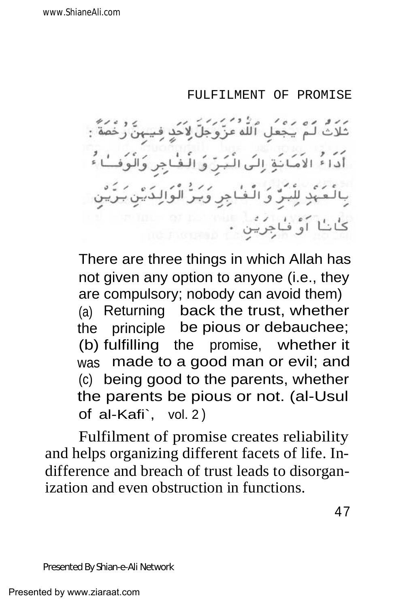#### FULFILMENT OF PROMISE

ثَلَاثٌ لَمْ يَجْعَلِ ٱللَّهُ عَزَّوَجَلَّ لِإِخَدٍ فِي أَدَاءُ الْاَمَانَةِ إِلَى الْبَرِّ وَ الْفُ بِالْعَبَّدِ لِلَّبَرِّ وَالَّفْاجِرِ وَبَرُّ الْوَالِدَّ: ر.<br>اَوْ فَاجِرِيْنِ .

There are three things in which Allah has not given any option to anyone (i.e., they are compulsory; nobody can avoid them) (a) Returning back the trust, whether the principle be pious or debauchee; (b) fulfilling the promise, whether it was made to a good man or evil; and (c) being good to the parents, whether the parents be pious or not. (al-Usul of al-Kafi`, vol. 2 )

Fulfilment of promise creates reliability and helps organizing different facets of life. Indifference and breach of trust leads to disorganization and even obstruction in functions.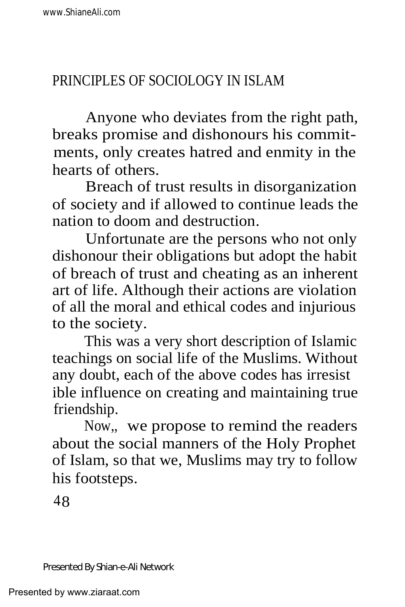Anyone who deviates from the right path, breaks promise and dishonours his commitments, only creates hatred and enmity in the hearts of others.

Breach of trust results in disorganization of society and if allowed to continue leads the nation to doom and destruction.

Unfortunate are the persons who not only dishonour their obligations but adopt the habit of breach of trust and cheating as an inherent art of life. Although their actions are violation of all the moral and ethical codes and injurious to the society.

This was a very short description of Islamic teachings on social life of the Muslims. Without any doubt, each of the above codes has irresist ible influence on creating and maintaining true friendship.

Now,, we propose to remind the readers about the social manners of the Holy Prophet of Islam, so that we, Muslims may try to follow his footsteps.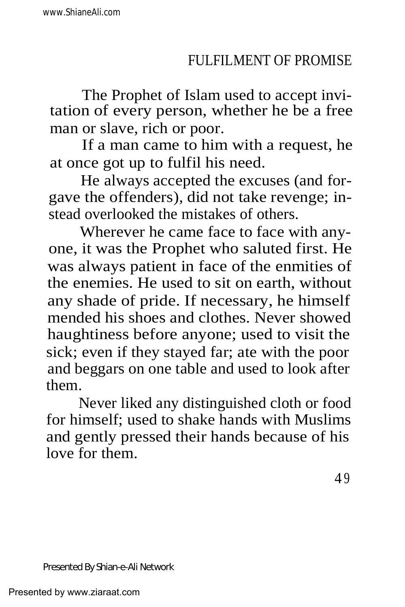The Prophet of Islam used to accept invitation of every person, whether he be a free man or slave, rich or poor.

If a man came to him with a request, he at once got up to fulfil his need.

He always accepted the excuses (and forgave the offenders), did not take revenge; instead overlooked the mistakes of others.

Wherever he came face to face with anyone, it was the Prophet who saluted first. He was always patient in face of the enmities of the enemies. He used to sit on earth, without any shade of pride. If necessary, he himself mended his shoes and clothes. Never showed haughtiness before anyone; used to visit the sick; even if they stayed far; ate with the poor and beggars on one table and used to look after them.

Never liked any distinguished cloth or food for himself; used to shake hands with Muslims and gently pressed their hands because of his love for them.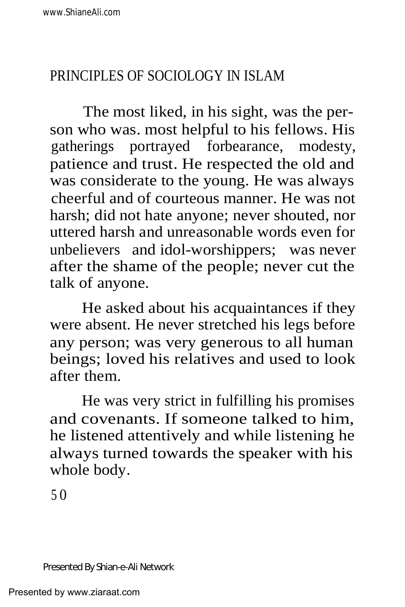# PRINCIPLES OF SOCIOLOGY IN ISLAM

The most liked, in his sight, was the person who was. most helpful to his fellows. His gatherings portrayed forbearance, modesty, patience and trust. He respected the old and was considerate to the young. He was always cheerful and of courteous manner. He was not harsh; did not hate anyone; never shouted, nor uttered harsh and unreasonable words even for unbelievers and idol-worshippers; was never after the shame of the people; never cut the talk of anyone.

He asked about his acquaintances if they were absent. He never stretched his legs before any person; was very generous to all human beings; loved his relatives and used to look after them.

He was very strict in fulfilling his promises and covenants. If someone talked to him, he listened attentively and while listening he always turned towards the speaker with his whole body.

5 0